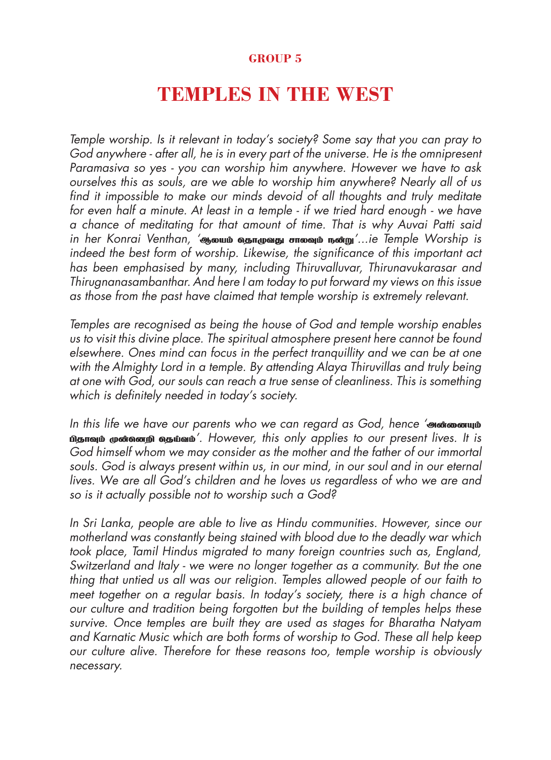## **GROUP 5**

## **TEMPLES IN THE WEST**

Temple worship. Is it relevant in today's society? Some say that you can pray to God anywhere - after all, he is in every part of the universe. He is the omnipresent Paramasiva so yes - you can worship him anywhere. However we have to ask ourselves this as souls, are we able to worship him anywhere? Nearly all of us find it impossible to make our minds devoid of all thoughts and truly meditate for even half a minute. At least in a temple - if we tried hard enough - we have a chance of meditating for that amount of time. That is why Auvai Patti said in her Konrai Venthan, 'வூலயம் வதாமுவது சாலவும் நன்று'...ie Temple Worship is indeed the best form of worship. Likewise, the significance of this important act has been emphasised by many, including Thiruvalluvar, Thirunavukarasar and Thirugnanasambanthar. And here I am today to put forward my views on this issue as those from the past have claimed that temple worship is extremely relevant.

Temples are recognised as being the house of God and temple worship enables us to visit this divine place. The spiritual atmosphere present here cannot be found elsewhere. Ones mind can focus in the perfect tranquillity and we can be at one with the Almighty Lord in a temple. By attending Alaya Thiruvillas and truly being at one with God, our souls can reach a true sense of cleanliness. This is something which is definitely needed in today's society.

In this life we have our parents who we can regard as God, hence 'md;idAk; nதாவும் முன்றனை வதய்வம்'. However, this only applies to our present lives. It is God himself whom we may consider as the mother and the father of our immortal souls. God is always present within us, in our mind, in our soul and in our eternal lives. We are all God's children and he loves us regardless of who we are and so is it actually possible not to worship such a God?

In Sri Lanka, people are able to live as Hindu communities. However, since our motherland was constantly being stained with blood due to the deadly war which took place, Tamil Hindus migrated to many foreign countries such as, England, Switzerland and Italy - we were no longer together as a community. But the one thing that untied us all was our religion. Temples allowed people of our faith to meet together on a regular basis. In today's society, there is a high chance of our culture and tradition being forgotten but the building of temples helps these survive. Once temples are built they are used as stages for Bharatha Natyam and Karnatic Music which are both forms of worship to God. These all help keep our culture alive. Therefore for these reasons too, temple worship is obviously necessary.